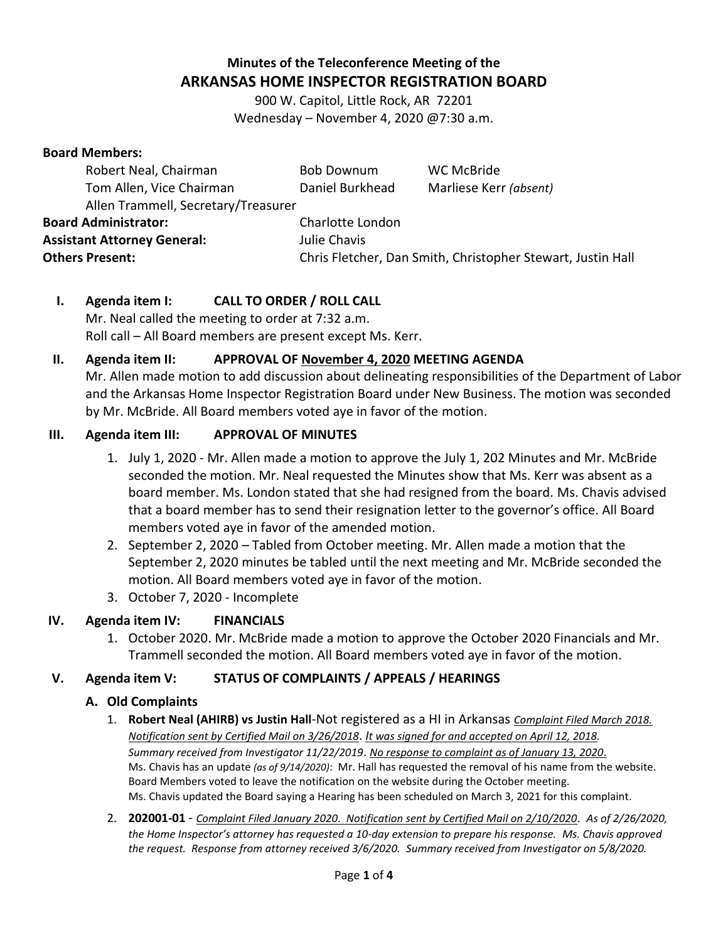# **Minutes of the Teleconference Meeting of the ARKANSAS HOME INSPECTOR REGISTRATION BOARD**

900 W. Capitol, Little Rock, AR 72201 Wednesday – November 4, 2020 @7:30 a.m.

#### **Board Members:**

| Robert Neal, Chairman               | <b>Bob Downum</b>                                           | <b>WC McBride</b>      |  |
|-------------------------------------|-------------------------------------------------------------|------------------------|--|
| Tom Allen, Vice Chairman            | Daniel Burkhead                                             | Marliese Kerr (absent) |  |
| Allen Trammell, Secretary/Treasurer |                                                             |                        |  |
| <b>Board Administrator:</b>         | Charlotte London                                            |                        |  |
| <b>Assistant Attorney General:</b>  | Julie Chavis                                                |                        |  |
| <b>Others Present:</b>              | Chris Fletcher, Dan Smith, Christopher Stewart, Justin Hall |                        |  |
|                                     |                                                             |                        |  |

## **I. Agenda item I: CALL TO ORDER / ROLL CALL**

Mr. Neal called the meeting to order at 7:32 a.m. Roll call – All Board members are present except Ms. Kerr.

### **II. Agenda item II: APPROVAL OF November 4, 2020 MEETING AGENDA**

Mr. Allen made motion to add discussion about delineating responsibilities of the Department of Labor and the Arkansas Home Inspector Registration Board under New Business. The motion was seconded by Mr. McBride. All Board members voted aye in favor of the motion.

#### **III. Agenda item III: APPROVAL OF MINUTES**

- 1. July 1, 2020 Mr. Allen made a motion to approve the July 1, 202 Minutes and Mr. McBride seconded the motion. Mr. Neal requested the Minutes show that Ms. Kerr was absent as a board member. Ms. London stated that she had resigned from the board. Ms. Chavis advised that a board member has to send their resignation letter to the governor's office. All Board members voted aye in favor of the amended motion.
- 2. September 2, 2020 Tabled from October meeting. Mr. Allen made a motion that the September 2, 2020 minutes be tabled until the next meeting and Mr. McBride seconded the motion. All Board members voted aye in favor of the motion.
- 3. October 7, 2020 Incomplete

## **IV. Agenda item IV: FINANCIALS**

1. October 2020. Mr. McBride made a motion to approve the October 2020 Financials and Mr. Trammell seconded the motion. All Board members voted aye in favor of the motion.

#### **V. Agenda item V: STATUS OF COMPLAINTS / APPEALS / HEARINGS**

#### **A. Old Complaints**

- 1. **Robert Neal (AHIRB) vs Justin Hall**-Not registered as a HI in Arkansas *Complaint Filed March 2018. Notification sent by Certified Mail on 3/26/2018*. *It was signed for and accepted on April 12, 2018. Summary received from Investigator 11/22/2019*. *No response to complaint as of January 13, 2020*. Ms. Chavis has an update *(as of 9/14/2020)*: Mr. Hall has requested the removal of his name from the website. Board Members voted to leave the notification on the website during the October meeting. Ms. Chavis updated the Board saying a Hearing has been scheduled on March 3, 2021 for this complaint.
- 2. **202001-01** *Complaint Filed January 2020. Notification sent by Certified Mail on 2/10/2020*. *As of 2/26/2020, the Home Inspector's attorney has requested a 10-day extension to prepare his response. Ms. Chavis approved the request. Response from attorney received 3/6/2020. Summary received from Investigator on 5/8/2020.*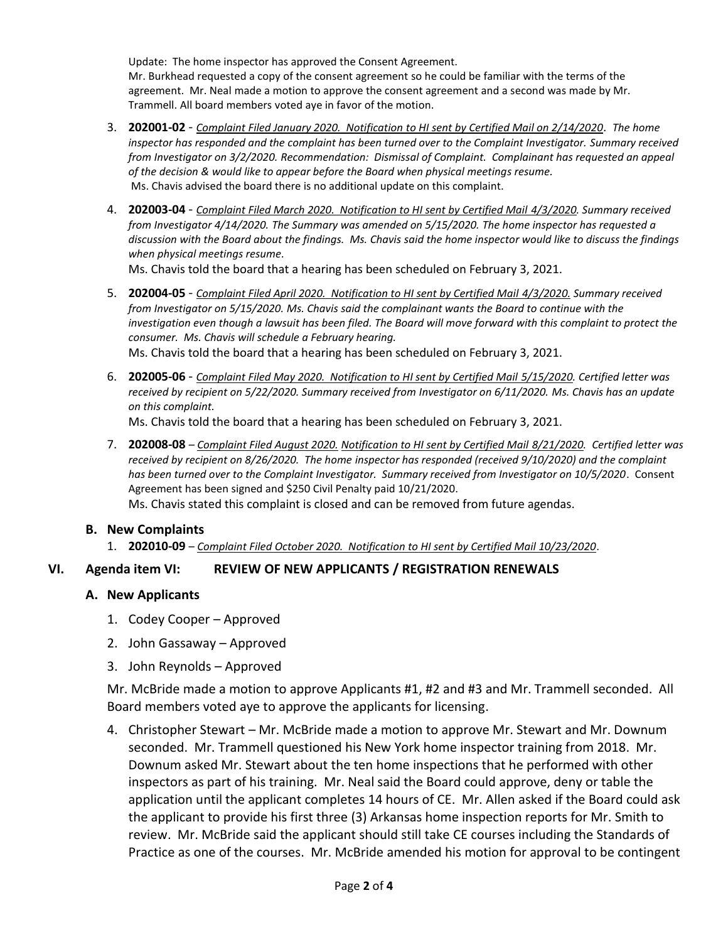Update: The home inspector has approved the Consent Agreement. Mr. Burkhead requested a copy of the consent agreement so he could be familiar with the terms of the agreement. Mr. Neal made a motion to approve the consent agreement and a second was made by Mr. Trammell. All board members voted aye in favor of the motion.

- 3. **202001-02** *Complaint Filed January 2020. Notification to HI sent by Certified Mail on 2/14/2020*. *The home inspector has responded and the complaint has been turned over to the Complaint Investigator. Summary received from Investigator on 3/2/2020. Recommendation: Dismissal of Complaint. Complainant has requested an appeal of the decision & would like to appear before the Board when physical meetings resume.* Ms. Chavis advised the board there is no additional update on this complaint.
- 4. **202003-04** *Complaint Filed March 2020. Notification to HI sent by Certified Mail 4/3/2020. Summary received from Investigator 4/14/2020. The Summary was amended on 5/15/2020. The home inspector has requested a discussion with the Board about the findings. Ms. Chavis said the home inspector would like to discuss the findings when physical meetings resume.*

Ms. Chavis told the board that a hearing has been scheduled on February 3, 2021.

- 5. **202004-05** *Complaint Filed April 2020. Notification to HI sent by Certified Mail 4/3/2020. Summary received from Investigator on 5/15/2020. Ms. Chavis said the complainant wants the Board to continue with the investigation even though a lawsuit has been filed. The Board will move forward with this complaint to protect the consumer. Ms. Chavis will schedule a February hearing.* Ms. Chavis told the board that a hearing has been scheduled on February 3, 2021.
- 6. **202005-06** *Complaint Filed May 2020. Notification to HI sent by Certified Mail 5/15/2020. Certified letter was received by recipient on 5/22/2020. Summary received from Investigator on 6/11/2020. Ms. Chavis has an update on this complaint.*

Ms. Chavis told the board that a hearing has been scheduled on February 3, 2021.

7. **202008-08** *– Complaint Filed August 2020. Notification to HI sent by Certified Mail 8/21/2020. Certified letter was received by recipient on 8/26/2020. The home inspector has responded (received 9/10/2020) and the complaint has been turned over to the Complaint Investigator. Summary received from Investigator on 10/5/2020*. Consent Agreement has been signed and \$250 Civil Penalty paid 10/21/2020. Ms. Chavis stated this complaint is closed and can be removed from future agendas.

#### **B. New Complaints**

1. **202010-09** – *Complaint Filed October 2020. Notification to HI sent by Certified Mail 10/23/2020*.

#### **VI. Agenda item VI: REVIEW OF NEW APPLICANTS / REGISTRATION RENEWALS /**

#### **A. New Applicants**

- 1. Codey Cooper Approved
- 2. John Gassaway Approved
- 3. John Reynolds Approved

Mr. McBride made a motion to approve Applicants #1, #2 and #3 and Mr. Trammell seconded. All Board members voted aye to approve the applicants for licensing.

4. Christopher Stewart – Mr. McBride made a motion to approve Mr. Stewart and Mr. Downum seconded. Mr. Trammell questioned his New York home inspector training from 2018. Mr. Downum asked Mr. Stewart about the ten home inspections that he performed with other inspectors as part of his training. Mr. Neal said the Board could approve, deny or table the application until the applicant completes 14 hours of CE. Mr. Allen asked if the Board could ask the applicant to provide his first three (3) Arkansas home inspection reports for Mr. Smith to review. Mr. McBride said the applicant should still take CE courses including the Standards of Practice as one of the courses. Mr. McBride amended his motion for approval to be contingent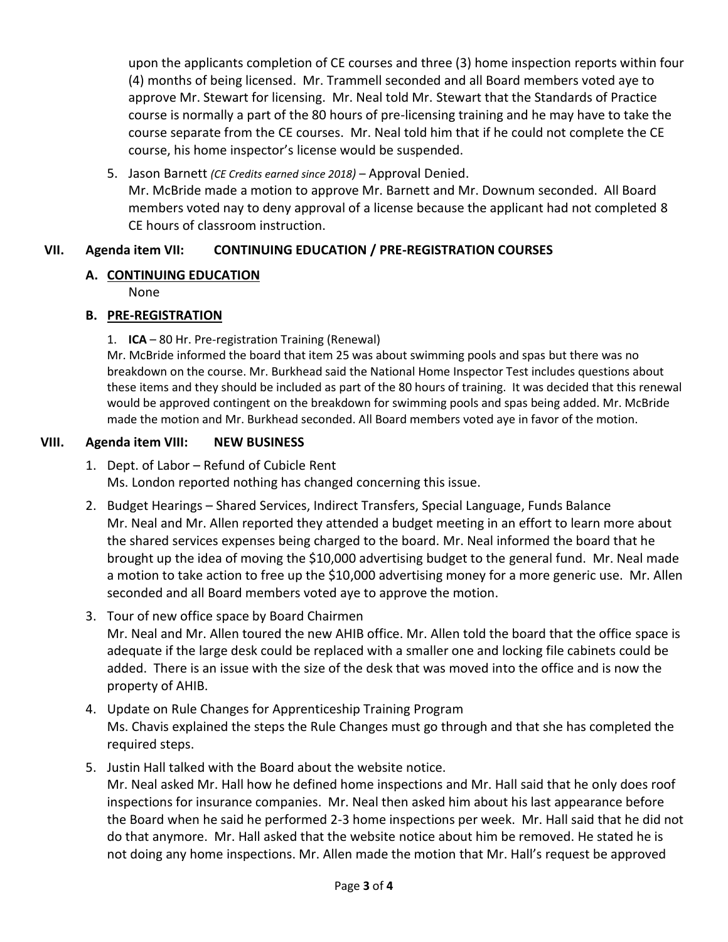upon the applicants completion of CE courses and three (3) home inspection reports within four (4) months of being licensed. Mr. Trammell seconded and all Board members voted aye to approve Mr. Stewart for licensing. Mr. Neal told Mr. Stewart that the Standards of Practice course is normally a part of the 80 hours of pre-licensing training and he may have to take the course separate from the CE courses. Mr. Neal told him that if he could not complete the CE course, his home inspector's license would be suspended.

5. Jason Barnett *(CE Credits earned since 2018)* – Approval Denied. Mr. McBride made a motion to approve Mr. Barnett and Mr. Downum seconded. All Board members voted nay to deny approval of a license because the applicant had not completed 8 CE hours of classroom instruction.

### **VII. Agenda item VII: CONTINUING EDUCATION / PRE-REGISTRATION COURSES**

### **A. CONTINUING EDUCATION**

None

#### **B. PRE-REGISTRATION**

1. **ICA** – 80 Hr. Pre-registration Training (Renewal)

Mr. McBride informed the board that item 25 was about swimming pools and spas but there was no breakdown on the course. Mr. Burkhead said the National Home Inspector Test includes questions about these items and they should be included as part of the 80 hours of training. It was decided that this renewal would be approved contingent on the breakdown for swimming pools and spas being added. Mr. McBride made the motion and Mr. Burkhead seconded. All Board members voted aye in favor of the motion.

### **VIII. Agenda item VIII: NEW BUSINESS**

- 1. Dept. of Labor Refund of Cubicle Rent Ms. London reported nothing has changed concerning this issue.
- 2. Budget Hearings Shared Services, Indirect Transfers, Special Language, Funds Balance Mr. Neal and Mr. Allen reported they attended a budget meeting in an effort to learn more about the shared services expenses being charged to the board. Mr. Neal informed the board that he brought up the idea of moving the \$10,000 advertising budget to the general fund. Mr. Neal made a motion to take action to free up the \$10,000 advertising money for a more generic use. Mr. Allen seconded and all Board members voted aye to approve the motion.

## 3. Tour of new office space by Board Chairmen

Mr. Neal and Mr. Allen toured the new AHIB office. Mr. Allen told the board that the office space is adequate if the large desk could be replaced with a smaller one and locking file cabinets could be added. There is an issue with the size of the desk that was moved into the office and is now the property of AHIB.

- 4. Update on Rule Changes for Apprenticeship Training Program Ms. Chavis explained the steps the Rule Changes must go through and that she has completed the required steps.
- 5. Justin Hall talked with the Board about the website notice.

Mr. Neal asked Mr. Hall how he defined home inspections and Mr. Hall said that he only does roof inspections for insurance companies. Mr. Neal then asked him about his last appearance before the Board when he said he performed 2-3 home inspections per week. Mr. Hall said that he did not do that anymore. Mr. Hall asked that the website notice about him be removed. He stated he is not doing any home inspections. Mr. Allen made the motion that Mr. Hall's request be approved